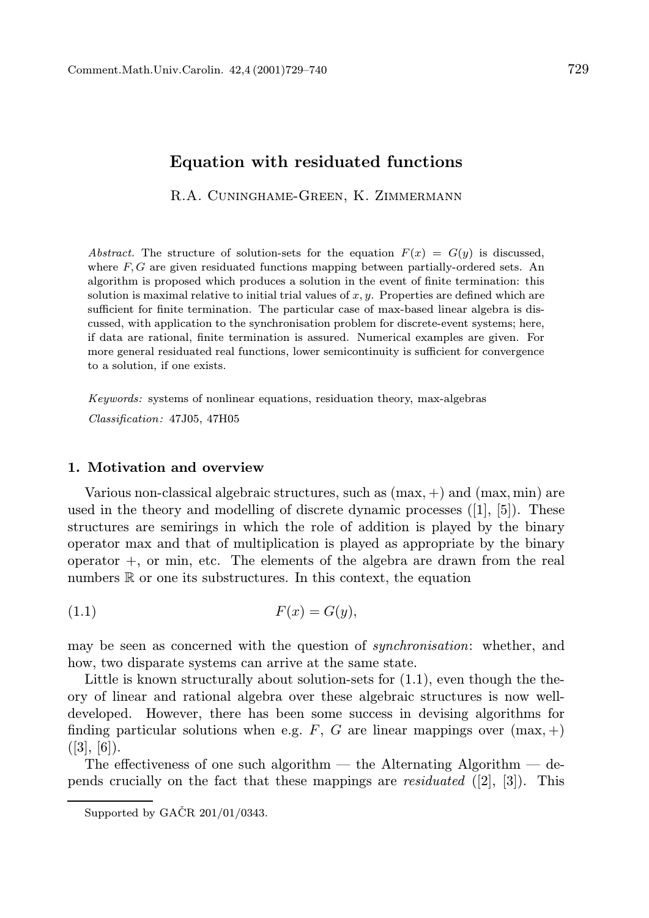# Equation with residuated functions

R.A. Cuninghame-Green, K. Zimmermann

Abstract. The structure of solution-sets for the equation  $F(x) = G(y)$  is discussed, where  $F, G$  are given residuated functions mapping between partially-ordered sets. An algorithm is proposed which produces a solution in the event of finite termination: this solution is maximal relative to initial trial values of  $x, y$ . Properties are defined which are sufficient for finite termination. The particular case of max-based linear algebra is discussed, with application to the synchronisation problem for discrete-event systems; here, if data are rational, finite termination is assured. Numerical examples are given. For more general residuated real functions, lower semicontinuity is sufficient for convergence to a solution, if one exists.

Keywords: systems of nonlinear equations, residuation theory, max-algebras

Classification: 47J05, 47H05

## 1. Motivation and overview

Various non-classical algebraic structures, such as  $(\text{max}, +)$  and  $(\text{max}, \text{min})$  are used in the theory and modelling of discrete dynamic processes  $([1], [5])$ . These structures are semirings in which the role of addition is played by the binary operator max and that of multiplication is played as appropriate by the binary operator +, or min, etc. The elements of the algebra are drawn from the real numbers  $\mathbb R$  or one its substructures. In this context, the equation

$$
(1.1) \tF(x) = G(y),
$$

may be seen as concerned with the question of *synchronisation*: whether, and how, two disparate systems can arrive at the same state.

Little is known structurally about solution-sets for  $(1.1)$ , even though the theory of linear and rational algebra over these algebraic structures is now welldeveloped. However, there has been some success in devising algorithms for finding particular solutions when e.g. F, G are linear mappings over  $(\text{max}, +)$  $([3], [6])$ .

The effectiveness of one such algorithm — the Alternating Algorithm — depends crucially on the fact that these mappings are *residuated*  $([2], [3])$ . This

Supported by GAČR  $201/01/0343$ .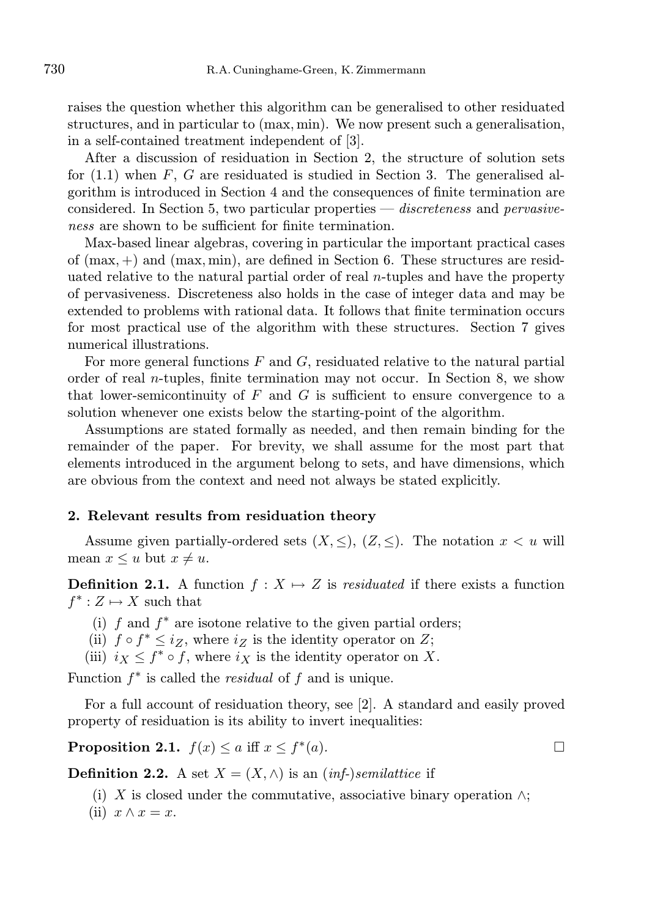raises the question whether this algorithm can be generalised to other residuated structures, and in particular to (max, min). We now present such a generalisation, in a self-contained treatment independent of [3].

After a discussion of residuation in Section 2, the structure of solution sets for  $(1.1)$  when F, G are residuated is studied in Section 3. The generalised algorithm is introduced in Section 4 and the consequences of finite termination are considered. In Section 5, two particular properties — discreteness and pervasiveness are shown to be sufficient for finite termination.

Max-based linear algebras, covering in particular the important practical cases of  $(max, +)$  and  $(max, min)$ , are defined in Section 6. These structures are residuated relative to the natural partial order of real  $n$ -tuples and have the property of pervasiveness. Discreteness also holds in the case of integer data and may be extended to problems with rational data. It follows that finite termination occurs for most practical use of the algorithm with these structures. Section 7 gives numerical illustrations.

For more general functions  $F$  and  $G$ , residuated relative to the natural partial order of real n-tuples, finite termination may not occur. In Section 8, we show that lower-semicontinuity of  $F$  and  $G$  is sufficient to ensure convergence to a solution whenever one exists below the starting-point of the algorithm.

Assumptions are stated formally as needed, and then remain binding for the remainder of the paper. For brevity, we shall assume for the most part that elements introduced in the argument belong to sets, and have dimensions, which are obvious from the context and need not always be stated explicitly.

#### 2. Relevant results from residuation theory

Assume given partially-ordered sets  $(X, \leq), (Z, \leq)$ . The notation  $x < u$  will mean  $x \leq u$  but  $x \neq u$ .

**Definition 2.1.** A function  $f : X \mapsto Z$  is residuated if there exists a function  $f^* : Z \mapsto X$  such that

- (i)  $f$  and  $f^*$  are isotone relative to the given partial orders;
- (ii)  $f \circ f^* \leq i_Z$ , where  $i_Z$  is the identity operator on Z;
- (iii)  $i_X \leq f^* \circ f$ , where  $i_X$  is the identity operator on X.

Function  $f^*$  is called the *residual* of  $f$  and is unique.

For a full account of residuation theory, see [2]. A standard and easily proved property of residuation is its ability to invert inequalities:

Proposition 2.1.  $f(x) \leq a$  iff  $x \leq f^*$  $(a).$ 

**Definition 2.2.** A set  $X = (X, \wedge)$  is an *(inf-)semilattice* if

- (i) X is closed under the commutative, associative binary operation  $\wedge$ ;
- (ii)  $x \wedge x = x$ .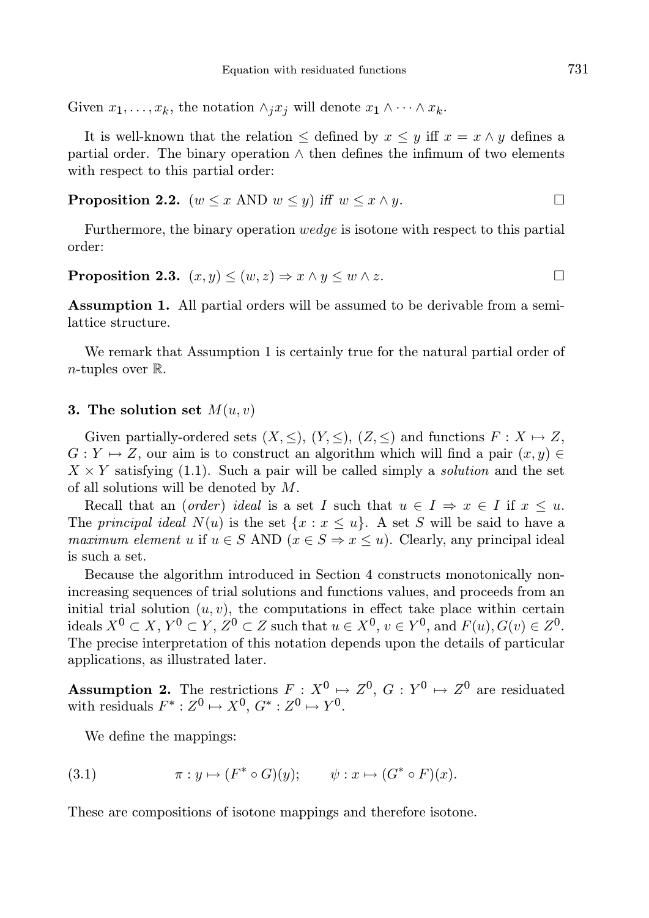Given  $x_1, \ldots, x_k$ , the notation  $\wedge_i x_i$  will denote  $x_1 \wedge \cdots \wedge x_k$ .

It is well-known that the relation  $\leq$  defined by  $x \leq y$  iff  $x = x \wedge y$  defines a partial order. The binary operation  $\wedge$  then defines the infimum of two elements with respect to this partial order:

**Proposition 2.2.** 
$$
(w \le x \text{ AND } w \le y) \text{ iff } w \le x \land y.
$$

Furthermore, the binary operation wedge is isotone with respect to this partial order:

# **Proposition 2.3.**  $(x, y) \leq (w, z) \Rightarrow x \wedge y \leq w \wedge z$ .

Assumption 1. All partial orders will be assumed to be derivable from a semilattice structure.

We remark that Assumption 1 is certainly true for the natural partial order of *n*-tuples over  $\mathbb{R}$ .

### 3. The solution set  $M(u, v)$

Given partially-ordered sets  $(X, \leq), (Y, \leq), (Z, \leq)$  and functions  $F: X \mapsto Z$ ,  $G: Y \mapsto Z$ , our aim is to construct an algorithm which will find a pair  $(x, y) \in$  $X \times Y$  satisfying (1.1). Such a pair will be called simply a *solution* and the set of all solutions will be denoted by M.

Recall that an (order) ideal is a set I such that  $u \in I \Rightarrow x \in I$  if  $x \leq u$ . The principal ideal  $N(u)$  is the set  $\{x : x \leq u\}$ . A set S will be said to have a maximum element u if  $u \in S$  AND  $(x \in S \Rightarrow x \leq u)$ . Clearly, any principal ideal is such a set.

Because the algorithm introduced in Section 4 constructs monotonically nonincreasing sequences of trial solutions and functions values, and proceeds from an initial trial solution  $(u, v)$ , the computations in effect take place within certain ideals  $X^0 \subset X$ ,  $Y^0 \subset Y$ ,  $Z^0 \subset Z$  such that  $u \in X^0$ ,  $v \in Y^0$ , and  $F(u)$ ,  $G(v) \in Z^0$ . The precise interpretation of this notation depends upon the details of particular applications, as illustrated later.

**Assumption 2.** The restrictions  $F: X^0 \mapsto Z^0$ ,  $G: Y^0 \mapsto Z^0$  are residuated with residuals  $F^* : Z^0 \mapsto X^0, G^* : Z^0 \mapsto Y^0$ .

We define the mappings:

(3.1) 
$$
\pi: y \mapsto (F^* \circ G)(y); \qquad \psi: x \mapsto (G^* \circ F)(x).
$$

These are compositions of isotone mappings and therefore isotone.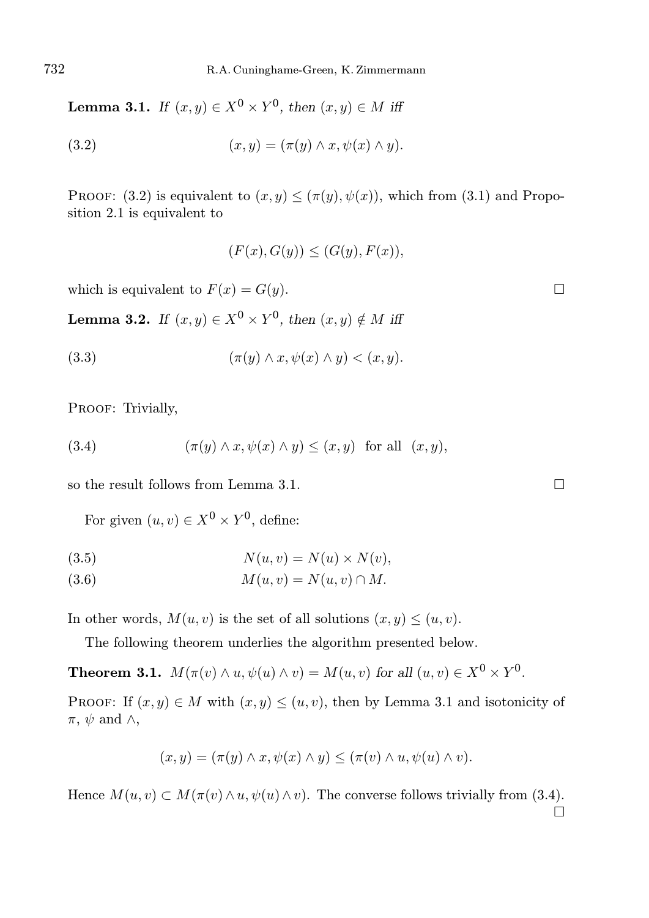**Lemma 3.1.** If  $(x, y) \in X^0 \times Y^0$ , then  $(x, y) \in M$  iff

$$
(3.2) \qquad (x, y) = (\pi(y) \land x, \psi(x) \land y).
$$

PROOF: (3.2) is equivalent to  $(x, y) \leq (\pi(y), \psi(x))$ , which from (3.1) and Proposition 2.1 is equivalent to

$$
(F(x), G(y)) \le (G(y), F(x)),
$$

which is equivalent to  $F(x) = G(y)$ .

**Lemma 3.2.** If  $(x, y) \in X^0 \times Y^0$ , then  $(x, y) \notin M$  iff

$$
(3.3) \qquad (\pi(y) \wedge x, \psi(x) \wedge y) < (x, y).
$$

PROOF: Trivially,

(3.4) 
$$
(\pi(y) \wedge x, \psi(x) \wedge y) \le (x, y) \text{ for all } (x, y),
$$

so the result follows from Lemma 3.1.

For given  $(u, v) \in X^0 \times Y^0$ , define:

$$
(3.5) \t\t N(u,v) = N(u) \times N(v),
$$

$$
(3.6) \t\t\t M(u,v) = N(u,v) \cap M.
$$

In other words,  $M(u, v)$  is the set of all solutions  $(x, y) \leq (u, v)$ .

The following theorem underlies the algorithm presented below.

**Theorem 3.1.**  $M(\pi(v) \wedge u, \psi(u) \wedge v) = M(u, v)$  for all  $(u, v) \in X^0 \times Y^0$ .

PROOF: If  $(x, y) \in M$  with  $(x, y) \leq (u, v)$ , then by Lemma 3.1 and isotonicity of  $\pi$ ,  $\psi$  and  $\wedge$ ,

$$
(x,y)=(\pi(y)\wedge x,\psi(x)\wedge y)\leq (\pi(v)\wedge u,\psi(u)\wedge v).
$$

Hence  $M(u, v) \subset M(\pi(v) \wedge u, \psi(u) \wedge v)$ . The converse follows trivially from (3.4).  $\Box$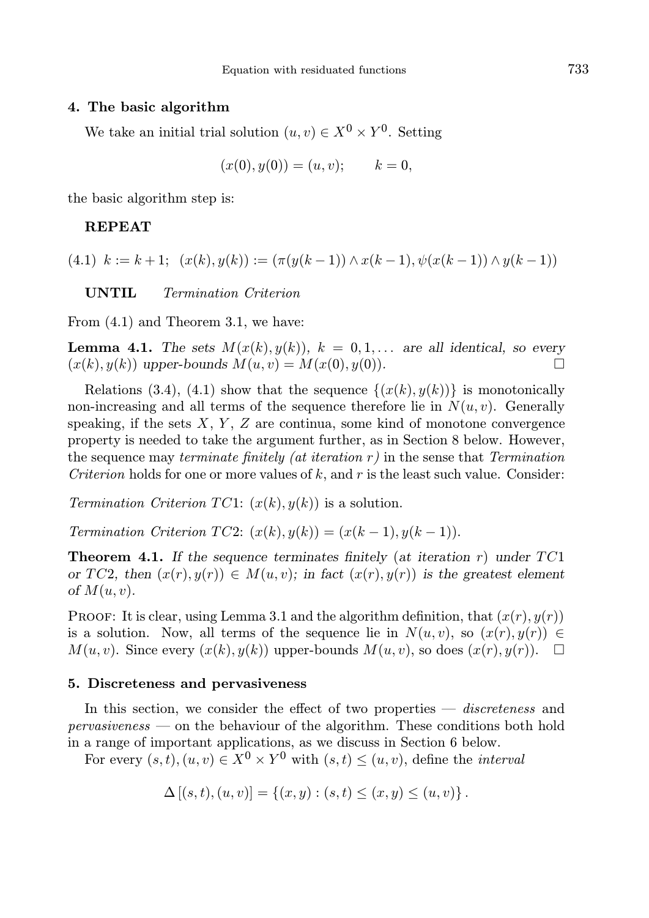# 4. The basic algorithm

We take an initial trial solution  $(u, v) \in X^0 \times Y^0$ . Setting

$$
(x(0), y(0)) = (u, v); \t k = 0,
$$

the basic algorithm step is:

# REPEAT

(4.1)  $k := k + 1$ ;  $(x(k), y(k)) := (\pi(y(k-1)) \wedge x(k-1), \psi(x(k-1)) \wedge y(k-1))$ 

UNTIL Termination Criterion

From (4.1) and Theorem 3.1, we have:

**Lemma 4.1.** The sets  $M(x(k), y(k))$ ,  $k = 0, 1, \ldots$  are all identical, so every  $(x(k), y(k))$  upper-bounds  $M(u, v) = M(x(0), y(0))$ .

Relations (3.4), (4.1) show that the sequence  $\{(x(k), y(k))\}$  is monotonically non-increasing and all terms of the sequence therefore lie in  $N(u, v)$ . Generally speaking, if the sets  $X, Y, Z$  are continua, some kind of monotone convergence property is needed to take the argument further, as in Section 8 below. However, the sequence may terminate finitely (at iteration  $r$ ) in the sense that Termination Criterion holds for one or more values of k, and r is the least such value. Consider:

Termination Criterion TC1:  $(x(k), y(k))$  is a solution.

Termination Criterion TC2:  $(x(k), y(k)) = (x(k-1), y(k-1)).$ 

**Theorem 4.1.** If the sequence terminates finitely (at iteration r) under  $TC1$ or TC2, then  $(x(r), y(r)) \in M(u, v)$ ; in fact  $(x(r), y(r))$  is the greatest element of  $M(u, v)$ .

**PROOF:** It is clear, using Lemma 3.1 and the algorithm definition, that  $(x(r), y(r))$ is a solution. Now, all terms of the sequence lie in  $N(u, v)$ , so  $(x(r), y(r)) \in$  $M(u, v)$ . Since every  $(x(k), y(k))$  upper-bounds  $M(u, v)$ , so does  $(x(r), y(r))$ .  $\Box$ 

#### 5. Discreteness and pervasiveness

In this section, we consider the effect of two properties — *discreteness* and pervasiveness — on the behaviour of the algorithm. These conditions both hold in a range of important applications, as we discuss in Section 6 below.

For every  $(s,t)$ ,  $(u, v) \in X^0 \times Y^0$  with  $(s, t) \leq (u, v)$ , define the *interval* 

$$
\Delta [(s,t), (u,v)] = \{(x,y) : (s,t) \le (x,y) \le (u,v)\}.
$$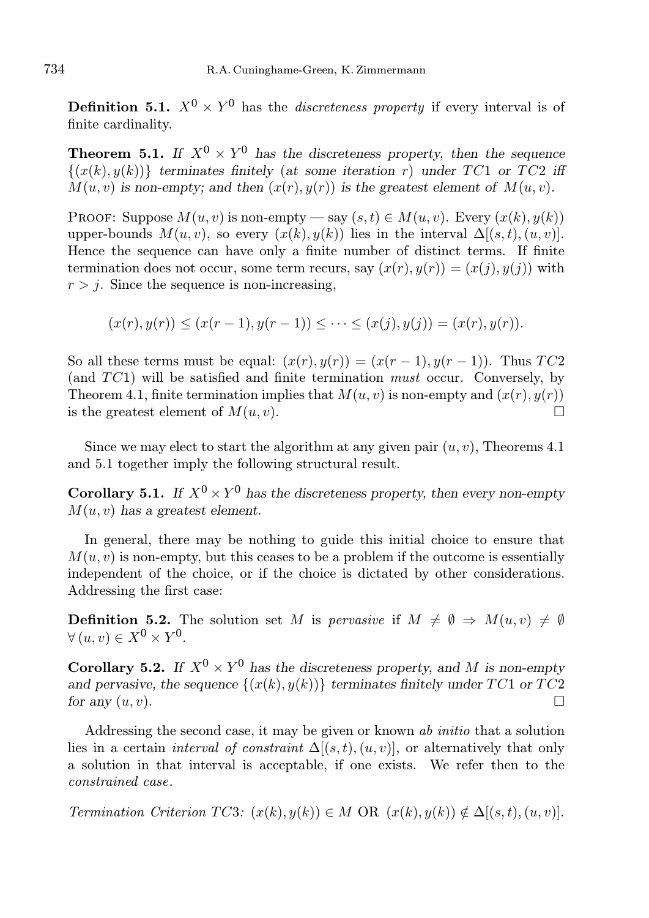**Definition 5.1.**  $X^0 \times Y^0$  has the *discreteness property* if every interval is of finite cardinality.

**Theorem 5.1.** If  $X^0 \times Y^0$  has the discreteness property, then the sequence  $\{(x(k), y(k))\}$  terminates finitely (at some iteration r) under TC1 or TC2 iff  $M(u, v)$  is non-empty; and then  $(x(r), y(r))$  is the greatest element of  $M(u, v)$ .

PROOF: Suppose  $M(u, v)$  is non-empty — say  $(s, t) \in M(u, v)$ . Every  $(x(k), y(k))$ upper-bounds  $M(u, v)$ , so every  $(x(k), y(k))$  lies in the interval  $\Delta[(s, t), (u, v)]$ . Hence the sequence can have only a finite number of distinct terms. If finite termination does not occur, some term recurs, say  $(x(r), y(r)) = (x(j), y(j))$  with  $r > j$ . Since the sequence is non-increasing,

$$
(x(r), y(r)) \le (x(r-1), y(r-1)) \le \dots \le (x(j), y(j)) = (x(r), y(r)).
$$

So all these terms must be equal:  $(x(r), y(r)) = (x(r-1), y(r-1))$ . Thus TC2 (and TC1) will be satisfied and finite termination must occur. Conversely, by Theorem 4.1, finite termination implies that  $M(u, v)$  is non-empty and  $(x(r), y(r))$ is the greatest element of  $M(u, v)$ .

Since we may elect to start the algorithm at any given pair  $(u, v)$ , Theorems 4.1 and 5.1 together imply the following structural result.

**Corollary 5.1.** If  $X^0 \times Y^0$  has the discreteness property, then every non-empty  $M(u, v)$  has a greatest element.

In general, there may be nothing to guide this initial choice to ensure that  $M(u, v)$  is non-empty, but this ceases to be a problem if the outcome is essentially independent of the choice, or if the choice is dictated by other considerations. Addressing the first case:

**Definition 5.2.** The solution set M is pervasive if  $M \neq \emptyset \Rightarrow M(u, v) \neq \emptyset$  $\forall (u, v) \in X^0 \times Y^0.$ 

**Corollary 5.2.** If  $X^0 \times Y^0$  has the discreteness property, and M is non-empty and pervasive, the sequence  $\{(x(k), y(k))\}$  terminates finitely under TC1 or TC2 for any  $(u, v)$ .

Addressing the second case, it may be given or known ab initio that a solution lies in a certain *interval of constraint*  $\Delta[(s,t),(u,v)]$ , or alternatively that only a solution in that interval is acceptable, if one exists. We refer then to the constrained case.

Termination Criterion TC3:  $(x(k), y(k)) \in M$  OR  $(x(k), y(k)) \notin \Delta[(s, t), (u, v)].$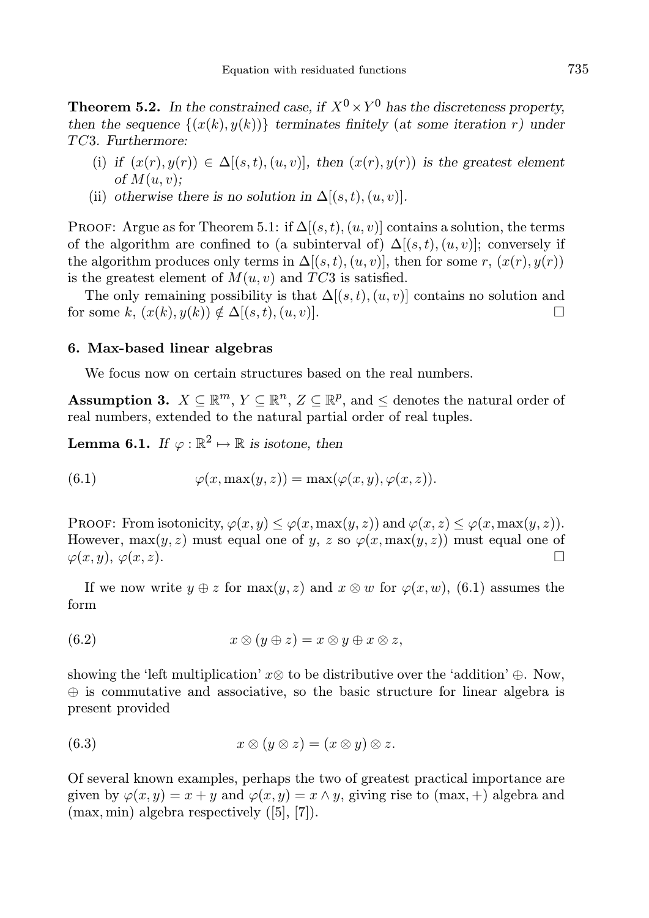**Theorem 5.2.** In the constrained case, if  $X^0 \times Y^0$  has the discreteness property, then the sequence  $\{(x(k), y(k))\}$  terminates finitely (at some iteration r) under TC3. Furthermore:

- (i) if  $(x(r), y(r)) \in \Delta[(s,t), (u, v)]$ , then  $(x(r), y(r))$  is the greatest element of  $M(u, v)$ ;
- (ii) otherwise there is no solution in  $\Delta[(s,t),(u,v)]$ .

PROOF: Argue as for Theorem 5.1: if  $\Delta[(s,t),(u,v)]$  contains a solution, the terms of the algorithm are confined to (a subinterval of)  $\Delta[(s,t),(u,v)]$ ; conversely if the algorithm produces only terms in  $\Delta[(s,t),(u,v)]$ , then for some r,  $(x(r),y(r))$ is the greatest element of  $M(u, v)$  and  $TC3$  is satisfied.

The only remaining possibility is that  $\Delta[(s,t),(u,v)]$  contains no solution and for some k,  $(x(k), y(k)) \notin \Delta[(s, t), (u, v)].$ 

#### 6. Max-based linear algebras

We focus now on certain structures based on the real numbers.

**Assumption 3.**  $X \subseteq \mathbb{R}^m$ ,  $Y \subseteq \mathbb{R}^n$ ,  $Z \subseteq \mathbb{R}^p$ , and  $\leq$  denotes the natural order of real numbers, extended to the natural partial order of real tuples.

**Lemma 6.1.** If  $\varphi : \mathbb{R}^2 \mapsto \mathbb{R}$  is isotone, then

(6.1) 
$$
\varphi(x, \max(y, z)) = \max(\varphi(x, y), \varphi(x, z)).
$$

PROOF: From isotonicity,  $\varphi(x, y) \leq \varphi(x, \max(y, z))$  and  $\varphi(x, z) \leq \varphi(x, \max(y, z))$ . However,  $\max(y, z)$  must equal one of y, z so  $\varphi(x, \max(y, z))$  must equal one of  $\varphi(x, y), \varphi(x, z).$ 

If we now write  $y \oplus z$  for  $\max(y, z)$  and  $x \otimes w$  for  $\varphi(x, w)$ , (6.1) assumes the form

$$
(6.2) \t x \otimes (y \oplus z) = x \otimes y \oplus x \otimes z,
$$

showing the 'left multiplication'  $x\otimes$  to be distributive over the 'addition' ⊕. Now, ⊕ is commutative and associative, so the basic structure for linear algebra is present provided

$$
(6.3) \t x \otimes (y \otimes z) = (x \otimes y) \otimes z.
$$

Of several known examples, perhaps the two of greatest practical importance are given by  $\varphi(x, y) = x + y$  and  $\varphi(x, y) = x \wedge y$ , giving rise to (max, +) algebra and (max, min) algebra respectively ([5], [7]).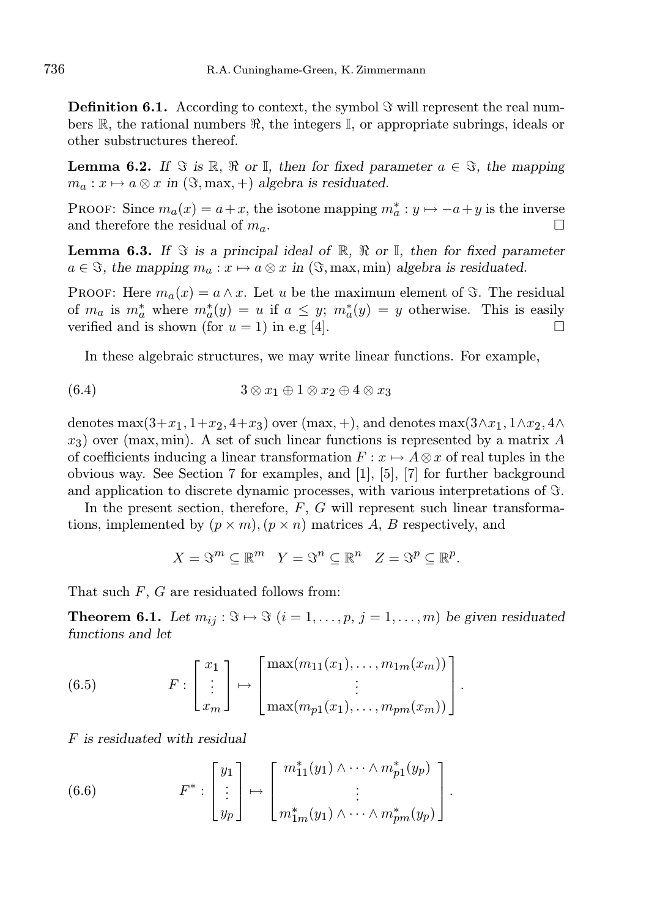**Definition 6.1.** According to context, the symbol  $\Im$  will represent the real numbers R, the rational numbers R, the integers  $\mathbb{I}$ , or appropriate subrings, ideals or other substructures thereof.

**Lemma 6.2.** If  $\Im$  is  $\mathbb{R}, \Re$  or  $\mathbb{I}$ , then for fixed parameter  $a \in \Im$ , the mapping  $m_a: x \mapsto a \otimes x$  in  $(\Im, \text{max}, +)$  algebra is residuated.

PROOF: Since  $m_a(x) = a + x$ , the isotone mapping  $m_a^* : y \mapsto -a + y$  is the inverse and therefore the residual of  $m_a$ .

**Lemma 6.3.** If  $\Im$  is a principal ideal of  $\mathbb{R}$ ,  $\Re$  or  $\mathbb{I}$ , then for fixed parameter  $a \in \Im$ , the mapping  $m_a : x \mapsto a \otimes x$  in  $(\Im, \text{max}, \text{min})$  algebra is residuated.

**PROOF:** Here  $m_a(x) = a \wedge x$ . Let u be the maximum element of  $\Im$ . The residual of  $m_a$  is  $m_a^*$  where  $m_a^*(y) = u$  if  $a \leq y$ ;  $m_a^*(y) = y$  otherwise. This is easily verified and is shown (for  $u = 1$ ) in e.g [4].

In these algebraic structures, we may write linear functions. For example,

$$
(6.4) \qquad \qquad 3 \otimes x_1 \oplus 1 \otimes x_2 \oplus 4 \otimes x_3
$$

denotes max $(3+x_1, 1+x_2, 4+x_3)$  over  $(\text{max}, +)$ , and denotes max $(3\wedge x_1, 1\wedge x_2, 4\wedge x_3)$  $x_3$ ) over (max, min). A set of such linear functions is represented by a matrix A of coefficients inducing a linear transformation  $F: x \mapsto A \otimes x$  of real tuples in the obvious way. See Section 7 for examples, and [1], [5], [7] for further background and application to discrete dynamic processes, with various interpretations of  $\Im$ .

In the present section, therefore,  $F$ ,  $G$  will represent such linear transformations, implemented by  $(p \times m)$ ,  $(p \times n)$  matrices A, B respectively, and

$$
X = \mathfrak{S}^m \subseteq \mathbb{R}^m \quad Y = \mathfrak{S}^n \subseteq \mathbb{R}^n \quad Z = \mathfrak{S}^p \subseteq \mathbb{R}^p.
$$

That such  $F$ ,  $G$  are residuated follows from:

**Theorem 6.1.** Let  $m_{ij}: \mathcal{F} \mapsto \mathcal{F}$   $(i = 1, \ldots, p, j = 1, \ldots, m)$  be given residuated functions and let

(6.5) 
$$
F: \begin{bmatrix} x_1 \\ \vdots \\ x_m \end{bmatrix} \mapsto \begin{bmatrix} \max(m_{11}(x_1), \dots, m_{1m}(x_m)) \\ \vdots \\ \max(m_{p1}(x_1), \dots, m_{pm}(x_m)) \end{bmatrix}.
$$

F is residuated with residual

(6.6) 
$$
F^* : \begin{bmatrix} y_1 \\ \vdots \\ y_p \end{bmatrix} \mapsto \begin{bmatrix} m_{11}^*(y_1) \wedge \cdots \wedge m_{p1}^*(y_p) \\ \vdots \\ m_{1m}^*(y_1) \wedge \cdots \wedge m_{pm}^*(y_p) \end{bmatrix}.
$$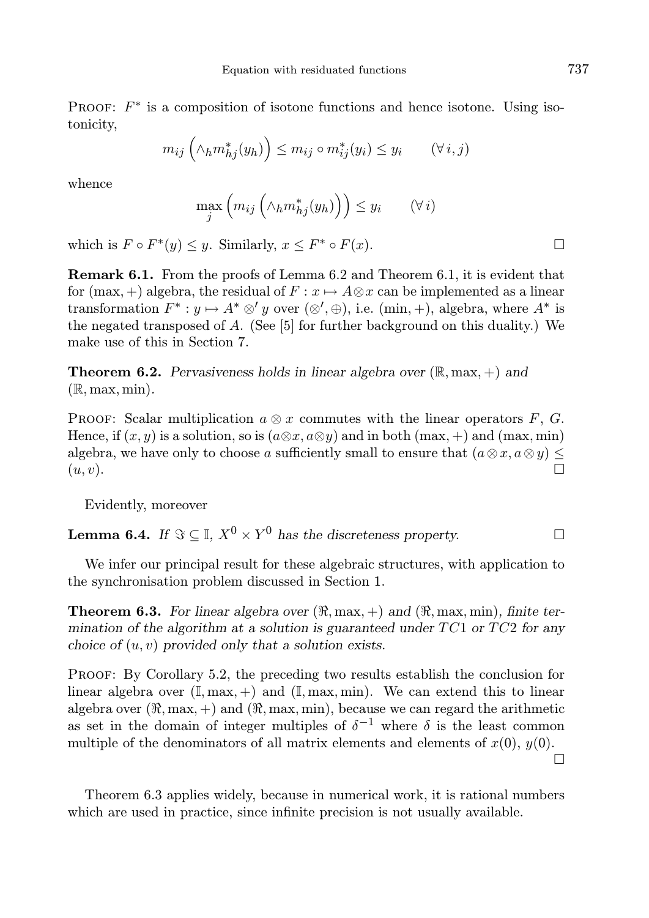PROOF:  $F^*$  is a composition of isotone functions and hence isotone. Using isotonicity,

$$
m_{ij} \left( \wedge_h m_{hj}^*(y_h) \right) \le m_{ij} \circ m_{ij}^*(y_i) \le y_i \qquad (\forall i, j)
$$

whence

$$
\max_{j} \left( m_{ij} \left( \wedge_h m_{hj}^*(y_h) \right) \right) \le y_i \qquad (\forall i)
$$

which is  $F \circ F^*(y) \leq y$ . Similarly,  $x \leq F^* \circ F(x)$ .

Remark 6.1. From the proofs of Lemma 6.2 and Theorem 6.1, it is evident that for (max, +) algebra, the residual of  $F: x \mapsto A \otimes x$  can be implemented as a linear transformation  $F^* : y \mapsto A^* \otimes' y$  over  $(\otimes', \oplus)$ , i.e.  $(\min, +)$ , algebra, where  $A^*$  is the negated transposed of A. (See  $[5]$  for further background on this duality.) We make use of this in Section 7.

**Theorem 6.2.** Pervasiveness holds in linear algebra over  $(\mathbb{R}, \max, +)$  and  $(\mathbb{R}, \max, \min).$ 

PROOF: Scalar multiplication  $a \otimes x$  commutes with the linear operators F, G. Hence, if  $(x, y)$  is a solution, so is  $(a \otimes x, a \otimes y)$  and in both  $(\max, +)$  and  $(\max, \min)$ algebra, we have only to choose a sufficiently small to ensure that  $(a \otimes x, a \otimes y) \leq$  $(u, v).$ 

Evidently, moreover

**Lemma 6.4.** If  $\Im \subseteq \mathbb{I}, X^0 \times Y^0$  has the discreteness property.

We infer our principal result for these algebraic structures, with application to the synchronisation problem discussed in Section 1.

**Theorem 6.3.** For linear algebra over  $(\Re, \max, +)$  and  $(\Re, \max, \min)$ , finite termination of the algorithm at a solution is guaranteed under  $TC1$  or  $TC2$  for any choice of  $(u, v)$  provided only that a solution exists.

Proof: By Corollary 5.2, the preceding two results establish the conclusion for linear algebra over  $(\mathbb{I}, \max, +)$  and  $(\mathbb{I}, \max, \min)$ . We can extend this to linear algebra over  $(\Re, \max, +)$  and  $(\Re, \max, \min)$ , because we can regard the arithmetic as set in the domain of integer multiples of  $\delta^{-1}$  where  $\delta$  is the least common multiple of the denominators of all matrix elements and elements of  $x(0)$ ,  $y(0)$ .

Theorem 6.3 applies widely, because in numerical work, it is rational numbers which are used in practice, since infinite precision is not usually available.

 $\Box$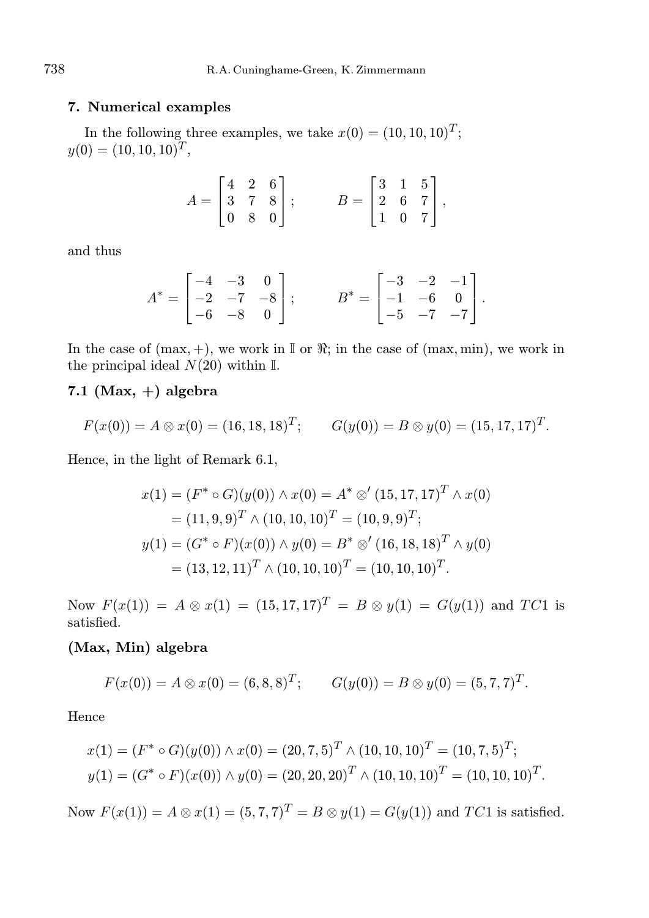## 7. Numerical examples

In the following three examples, we take  $x(0) = (10, 10, 10)^T$ ;  $y(0) = (10, 10, 10)^T$ ,

$$
A = \begin{bmatrix} 4 & 2 & 6 \\ 3 & 7 & 8 \\ 0 & 8 & 0 \end{bmatrix}; \qquad B = \begin{bmatrix} 3 & 1 & 5 \\ 2 & 6 & 7 \\ 1 & 0 & 7 \end{bmatrix},
$$

and thus

$$
A^* = \begin{bmatrix} -4 & -3 & 0 \\ -2 & -7 & -8 \\ -6 & -8 & 0 \end{bmatrix}; \qquad B^* = \begin{bmatrix} -3 & -2 & -1 \\ -1 & -6 & 0 \\ -5 & -7 & -7 \end{bmatrix}.
$$

In the case of  $(max, +)$ , we work in I or  $\Re$ ; in the case of  $(max, min)$ , we work in the principal ideal  $N(20)$  within I.

# 7.1 (Max,  $+)$  algebra

$$
F(x(0)) = A \otimes x(0) = (16, 18, 18)^{T}; \qquad G(y(0)) = B \otimes y(0) = (15, 17, 17)^{T}.
$$

Hence, in the light of Remark 6.1,

$$
x(1) = (F^* \circ G)(y(0)) \land x(0) = A^* \otimes' (15, 17, 17)^T \land x(0)
$$
  
= (11, 9, 9)<sup>T</sup>  $\land$  (10, 10, 10)<sup>T</sup> = (10, 9, 9)<sup>T</sup>;  

$$
y(1) = (G^* \circ F)(x(0)) \land y(0) = B^* \otimes' (16, 18, 18)^T \land y(0)
$$
  
= (13, 12, 11)<sup>T</sup>  $\land$  (10, 10, 10)<sup>T</sup> = (10, 10, 10)<sup>T</sup>.

Now  $F(x(1)) = A \otimes x(1) = (15, 17, 17)^T = B \otimes y(1) = G(y(1))$  and TC1 is satisfied.

# (Max, Min) algebra

$$
F(x(0)) = A \otimes x(0) = (6,8,8)^T; \qquad G(y(0)) = B \otimes y(0) = (5,7,7)^T.
$$

Hence

$$
x(1) = (F^* \circ G)(y(0)) \land x(0) = (20, 7, 5)^T \land (10, 10, 10)^T = (10, 7, 5)^T;
$$
  

$$
y(1) = (G^* \circ F)(x(0)) \land y(0) = (20, 20, 20)^T \land (10, 10, 10)^T = (10, 10, 10)^T.
$$

Now  $F(x(1)) = A \otimes x(1) = (5, 7, 7)^T = B \otimes y(1) = G(y(1))$  and  $TC1$  is satisfied.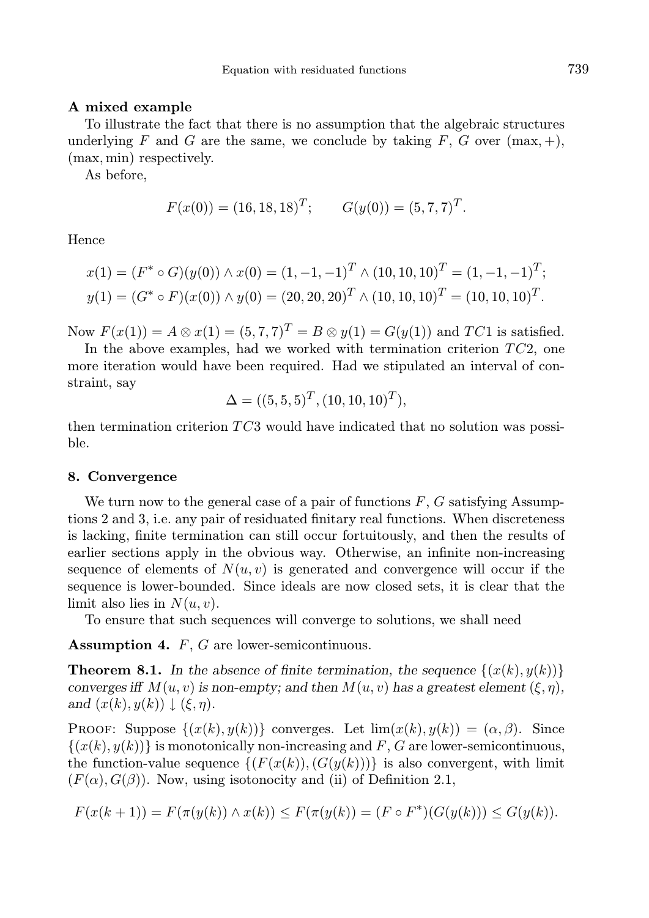## A mixed example

To illustrate the fact that there is no assumption that the algebraic structures underlying F and G are the same, we conclude by taking F, G over  $(\max, +),$ (max, min) respectively.

As before,

$$
F(x(0)) = (16, 18, 18)^T
$$
;  $G(y(0)) = (5, 7, 7)^T$ .

Hence

$$
x(1) = (F^* \circ G)(y(0)) \land x(0) = (1, -1, -1)^T \land (10, 10, 10)^T = (1, -1, -1)^T;
$$
  

$$
y(1) = (G^* \circ F)(x(0)) \land y(0) = (20, 20, 20)^T \land (10, 10, 10)^T = (10, 10, 10)^T.
$$

Now  $F(x(1)) = A \otimes x(1) = (5, 7, 7)^T = B \otimes y(1) = G(y(1))$  and  $TC1$  is satisfied.

In the above examples, had we worked with termination criterion  $TC2$ , one more iteration would have been required. Had we stipulated an interval of constraint, say

$$
\Delta = ((5, 5, 5)^T, (10, 10, 10)^T),
$$

then termination criterion TC3 would have indicated that no solution was possible.

#### 8. Convergence

We turn now to the general case of a pair of functions  $F, G$  satisfying Assumptions 2 and 3, i.e. any pair of residuated finitary real functions. When discreteness is lacking, finite termination can still occur fortuitously, and then the results of earlier sections apply in the obvious way. Otherwise, an infinite non-increasing sequence of elements of  $N(u, v)$  is generated and convergence will occur if the sequence is lower-bounded. Since ideals are now closed sets, it is clear that the limit also lies in  $N(u, v)$ .

To ensure that such sequences will converge to solutions, we shall need

Assumption 4. F, G are lower-semicontinuous.

**Theorem 8.1.** In the absence of finite termination, the sequence  $\{(x(k), y(k))\}$ converges iff  $M(u, v)$  is non-empty; and then  $M(u, v)$  has a greatest element  $(\xi, \eta)$ , and  $(x(k), y(k)) \downarrow (\xi, \eta)$ .

PROOF: Suppose  $\{(x(k), y(k))\}$  converges. Let  $\lim(x(k), y(k)) = (\alpha, \beta)$ . Since  $\{(x(k), y(k))\}$  is monotonically non-increasing and F, G are lower-semicontinuous, the function-value sequence  $\{(F(x(k)),(G(y(k)))\})$  is also convergent, with limit  $(F(\alpha), G(\beta))$ . Now, using isotonocity and (ii) of Definition 2.1,

$$
F(x(k+1)) = F(\pi(y(k)) \wedge x(k)) \le F(\pi(y(k))) = (F \circ F^*)(G(y(k))) \le G(y(k)).
$$